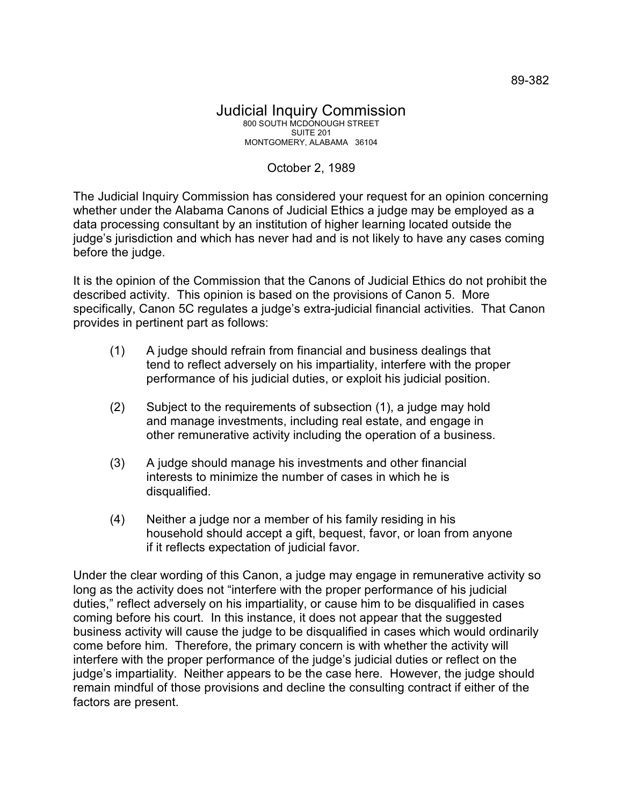## Judicial Inquiry Commission 800 SOUTH MCDONOUGH STREET SUITE 201 MONTGOMERY, ALABAMA 36104

## October 2, 1989

The Judicial Inquiry Commission has considered your request for an opinion concerning whether under the Alabama Canons of Judicial Ethics a judge may be employed as a data processing consultant by an institution of higher learning located outside the judge's jurisdiction and which has never had and is not likely to have any cases coming before the judge.

It is the opinion of the Commission that the Canons of Judicial Ethics do not prohibit the described activity. This opinion is based on the provisions of Canon 5. More specifically, Canon 5C regulates a judge's extra-judicial financial activities. That Canon provides in pertinent part as follows:

- (1) A judge should refrain from financial and business dealings that tend to reflect adversely on his impartiality, interfere with the proper performance of his judicial duties, or exploit his judicial position.
- (2) Subject to the requirements of subsection (1), a judge may hold and manage investments, including real estate, and engage in other remunerative activity including the operation of a business.
- (3) A judge should manage his investments and other financial interests to minimize the number of cases in which he is disqualified.
- (4) Neither a judge nor a member of his family residing in his household should accept a gift, bequest, favor, or loan from anyone if it reflects expectation of judicial favor.

Under the clear wording of this Canon, a judge may engage in remunerative activity so long as the activity does not "interfere with the proper performance of his judicial duties," reflect adversely on his impartiality, or cause him to be disqualified in cases coming before his court. In this instance, it does not appear that the suggested business activity will cause the judge to be disqualified in cases which would ordinarily come before him. Therefore, the primary concern is with whether the activity will interfere with the proper performance of the judge's judicial duties or reflect on the judge's impartiality. Neither appears to be the case here. However, the judge should remain mindful of those provisions and decline the consulting contract if either of the factors are present.